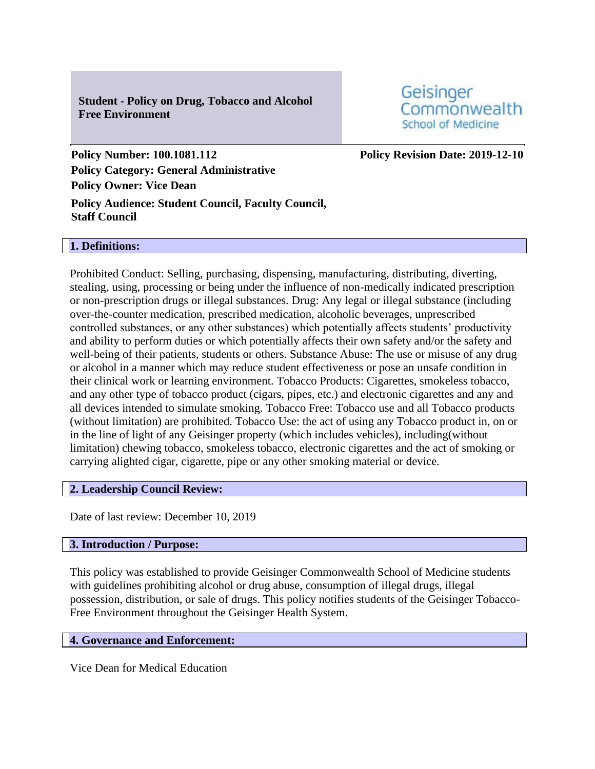**Student - Policy on Drug, Tobacco and Alcohol Free Environment**

Geisinger Commonwealth **School of Medicine** 

**Policy Number: 100.1081.112 Policy Revision Date: 2019-12-10 Policy Category: General Administrative Policy Owner: Vice Dean**

**Policy Audience: Student Council, Faculty Council, Staff Council**

#### **1. Definitions:**

Prohibited Conduct: Selling, purchasing, dispensing, manufacturing, distributing, diverting, stealing, using, processing or being under the influence of non-medically indicated prescription or non-prescription drugs or illegal substances. Drug: Any legal or illegal substance (including over-the-counter medication, prescribed medication, alcoholic beverages, unprescribed controlled substances, or any other substances) which potentially affects students' productivity and ability to perform duties or which potentially affects their own safety and/or the safety and well-being of their patients, students or others. Substance Abuse: The use or misuse of any drug or alcohol in a manner which may reduce student effectiveness or pose an unsafe condition in their clinical work or learning environment. Tobacco Products: Cigarettes, smokeless tobacco, and any other type of tobacco product (cigars, pipes, etc.) and electronic cigarettes and any and all devices intended to simulate smoking. Tobacco Free: Tobacco use and all Tobacco products (without limitation) are prohibited. Tobacco Use: the act of using any Tobacco product in, on or in the line of light of any Geisinger property (which includes vehicles), including(without limitation) chewing tobacco, smokeless tobacco, electronic cigarettes and the act of smoking or carrying alighted cigar, cigarette, pipe or any other smoking material or device.

## **2. Leadership Council Review:**

Date of last review: December 10, 2019

## **3. Introduction / Purpose:**

This policy was established to provide Geisinger Commonwealth School of Medicine students with guidelines prohibiting alcohol or drug abuse, consumption of illegal drugs, illegal possession, distribution, or sale of drugs. This policy notifies students of the Geisinger Tobacco-Free Environment throughout the Geisinger Health System.

## **4. Governance and Enforcement:**

Vice Dean for Medical Education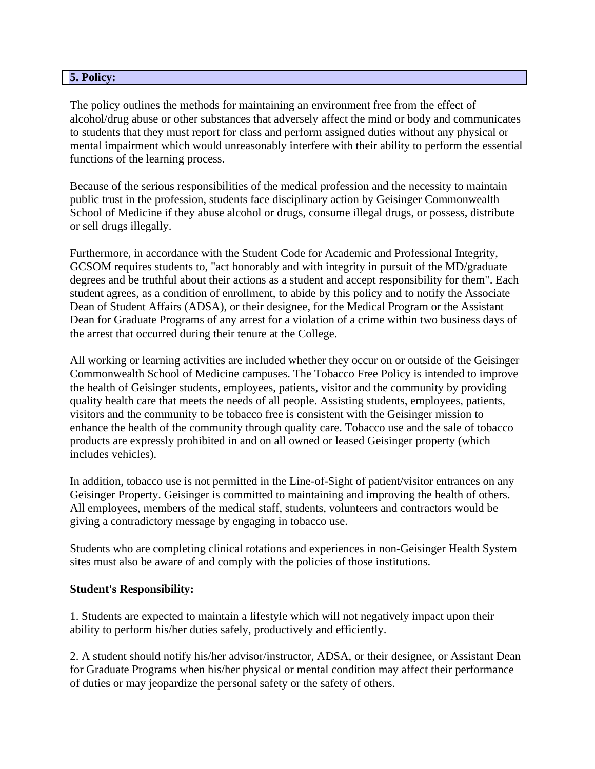## **5. Policy:**

The policy outlines the methods for maintaining an environment free from the effect of alcohol/drug abuse or other substances that adversely affect the mind or body and communicates to students that they must report for class and perform assigned duties without any physical or mental impairment which would unreasonably interfere with their ability to perform the essential functions of the learning process.

Because of the serious responsibilities of the medical profession and the necessity to maintain public trust in the profession, students face disciplinary action by Geisinger Commonwealth School of Medicine if they abuse alcohol or drugs, consume illegal drugs, or possess, distribute or sell drugs illegally.

Furthermore, in accordance with the Student Code for Academic and Professional Integrity, GCSOM requires students to, "act honorably and with integrity in pursuit of the MD/graduate degrees and be truthful about their actions as a student and accept responsibility for them". Each student agrees, as a condition of enrollment, to abide by this policy and to notify the Associate Dean of Student Affairs (ADSA), or their designee, for the Medical Program or the Assistant Dean for Graduate Programs of any arrest for a violation of a crime within two business days of the arrest that occurred during their tenure at the College.

All working or learning activities are included whether they occur on or outside of the Geisinger Commonwealth School of Medicine campuses. The Tobacco Free Policy is intended to improve the health of Geisinger students, employees, patients, visitor and the community by providing quality health care that meets the needs of all people. Assisting students, employees, patients, visitors and the community to be tobacco free is consistent with the Geisinger mission to enhance the health of the community through quality care. Tobacco use and the sale of tobacco products are expressly prohibited in and on all owned or leased Geisinger property (which includes vehicles).

In addition, tobacco use is not permitted in the Line-of-Sight of patient/visitor entrances on any Geisinger Property. Geisinger is committed to maintaining and improving the health of others. All employees, members of the medical staff, students, volunteers and contractors would be giving a contradictory message by engaging in tobacco use.

Students who are completing clinical rotations and experiences in non-Geisinger Health System sites must also be aware of and comply with the policies of those institutions.

#### **Student's Responsibility:**

1. Students are expected to maintain a lifestyle which will not negatively impact upon their ability to perform his/her duties safely, productively and efficiently.

2. A student should notify his/her advisor/instructor, ADSA, or their designee, or Assistant Dean for Graduate Programs when his/her physical or mental condition may affect their performance of duties or may jeopardize the personal safety or the safety of others.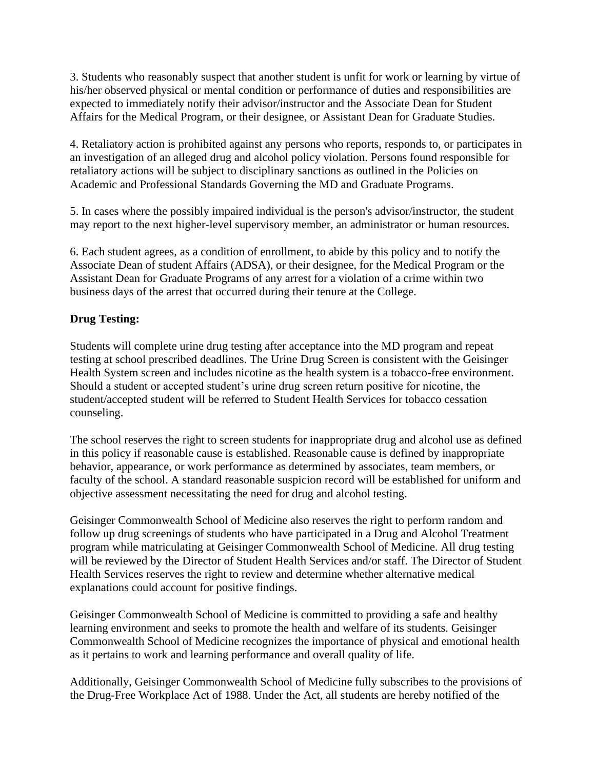3. Students who reasonably suspect that another student is unfit for work or learning by virtue of his/her observed physical or mental condition or performance of duties and responsibilities are expected to immediately notify their advisor/instructor and the Associate Dean for Student Affairs for the Medical Program, or their designee, or Assistant Dean for Graduate Studies.

4. Retaliatory action is prohibited against any persons who reports, responds to, or participates in an investigation of an alleged drug and alcohol policy violation. Persons found responsible for retaliatory actions will be subject to disciplinary sanctions as outlined in the Policies on Academic and Professional Standards Governing the MD and Graduate Programs.

5. In cases where the possibly impaired individual is the person's advisor/instructor, the student may report to the next higher-level supervisory member, an administrator or human resources.

6. Each student agrees, as a condition of enrollment, to abide by this policy and to notify the Associate Dean of student Affairs (ADSA), or their designee, for the Medical Program or the Assistant Dean for Graduate Programs of any arrest for a violation of a crime within two business days of the arrest that occurred during their tenure at the College.

# **Drug Testing:**

Students will complete urine drug testing after acceptance into the MD program and repeat testing at school prescribed deadlines. The Urine Drug Screen is consistent with the Geisinger Health System screen and includes nicotine as the health system is a tobacco-free environment. Should a student or accepted student's urine drug screen return positive for nicotine, the student/accepted student will be referred to Student Health Services for tobacco cessation counseling.

The school reserves the right to screen students for inappropriate drug and alcohol use as defined in this policy if reasonable cause is established. Reasonable cause is defined by inappropriate behavior, appearance, or work performance as determined by associates, team members, or faculty of the school. A standard reasonable suspicion record will be established for uniform and objective assessment necessitating the need for drug and alcohol testing.

Geisinger Commonwealth School of Medicine also reserves the right to perform random and follow up drug screenings of students who have participated in a Drug and Alcohol Treatment program while matriculating at Geisinger Commonwealth School of Medicine. All drug testing will be reviewed by the Director of Student Health Services and/or staff. The Director of Student Health Services reserves the right to review and determine whether alternative medical explanations could account for positive findings.

Geisinger Commonwealth School of Medicine is committed to providing a safe and healthy learning environment and seeks to promote the health and welfare of its students. Geisinger Commonwealth School of Medicine recognizes the importance of physical and emotional health as it pertains to work and learning performance and overall quality of life.

Additionally, Geisinger Commonwealth School of Medicine fully subscribes to the provisions of the Drug-Free Workplace Act of 1988. Under the Act, all students are hereby notified of the